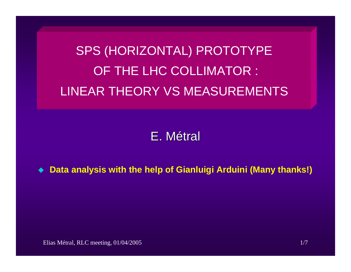SPS (HORIZONTAL) PROTOTYPE OF THE LHC COLLIMATOR : LINEAR THEORY VS MEASUREMENTS

E.Métral

**Data analysis with the help of Gianluigi Arduini (Many thanks!)**

Elias Métral, RLC meeting, 01/04/2005 1/7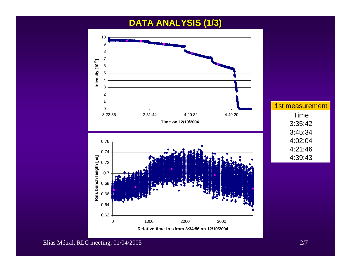# **DATA ANALYSIS (1/3) DATA ANALYSIS (1/3)**



1st measurement Time 3:35:42 3:45:34 4:02:04 4:21:46 4:39:43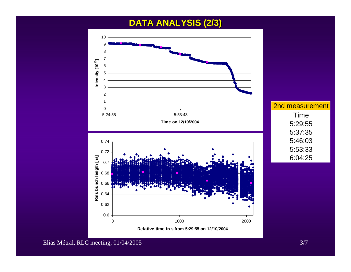## **DATA ANALYSIS (2/3) DATA ANALYSIS (2/3)**

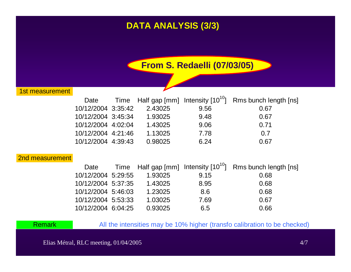# **DATA ANALYSIS (3/3) DATA ANALYSIS (3/3)**

**From S. Redaelli (07/03/05)**

1st measurement

| Date               |         |      | Time Half gap [mm] Intensity $[10^{10}]$ Rms bunch length [ns] |
|--------------------|---------|------|----------------------------------------------------------------|
| 10/12/2004 3:35:42 | 2.43025 | 9.56 | 0.67                                                           |
| 10/12/2004 3:45:34 | 1.93025 | 9.48 | 0.67                                                           |
| 10/12/2004 4:02:04 | 1.43025 | 9.06 | 0.71                                                           |
| 10/12/2004 4:21:46 | 1.13025 | 7.78 | 0.7                                                            |
| 10/12/2004 4:39:43 | 0.98025 | 6.24 | 0.67                                                           |

#### 2nd measurement

| Date               |         |      | Time Half gap [mm] Intensity [10 <sup>10</sup> ] Rms bunch length [ns] |
|--------------------|---------|------|------------------------------------------------------------------------|
| 10/12/2004 5:29:55 | 1.93025 | 9.15 | 0.68                                                                   |
| 10/12/2004 5:37:35 | 1.43025 | 8.95 | 0.68                                                                   |
| 10/12/2004 5:46:03 | 1.23025 | 8.6  | 0.68                                                                   |
| 10/12/2004 5:53:33 | 1.03025 | 7.69 | 0.67                                                                   |
| 10/12/2004 6:04:25 | 0.93025 | 6.5  | 0.66                                                                   |

Remark

All the intensities may be 10% higher (transfo calibration to be checked)

Elias Métral, RLC meeting, 01/04/2005 4/7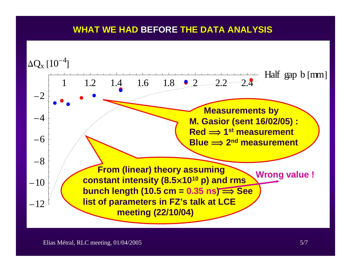### **WHAT WE HAD BEFORE THE DATA ANALYSIS**

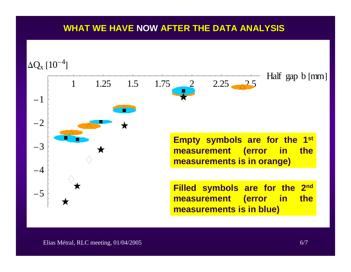### **WHAT WE HAVE WHAT WE HAVE NOW AFTER THE DATA ANALYSIS AFTER THE DATA ANALYSIS**